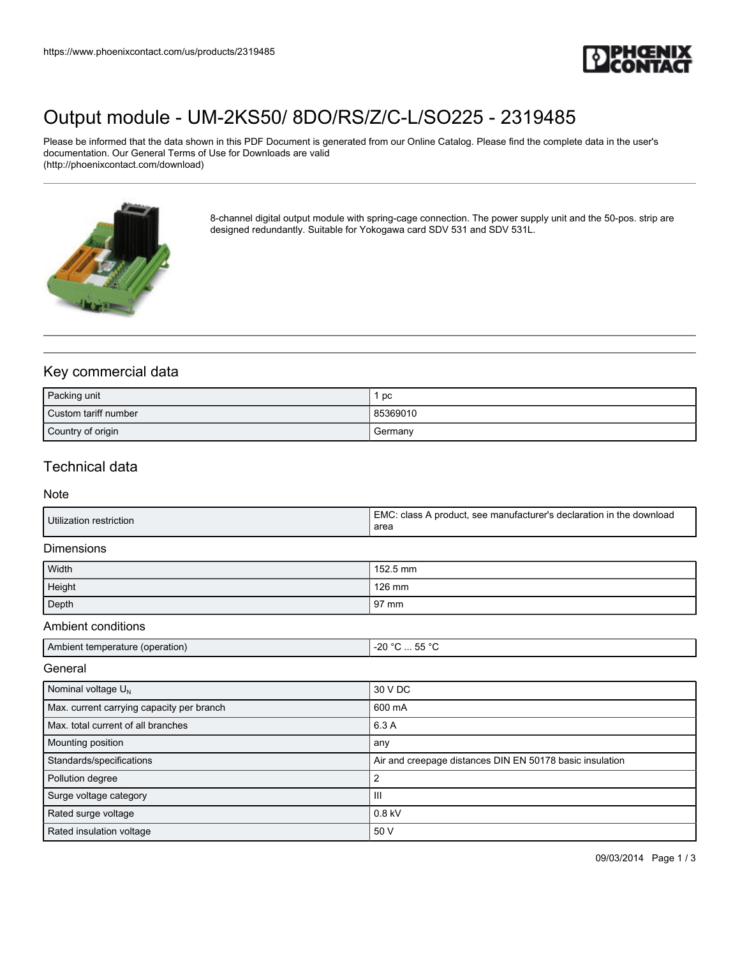

## [Output module - UM-2KS50/ 8DO/RS/Z/C-L/SO225 - 2319485](https://www.phoenixcontact.com/us/products/2319485)

Please be informed that the data shown in this PDF Document is generated from our Online Catalog. Please find the complete data in the user's documentation. Our General Terms of Use for Downloads are valid (http://phoenixcontact.com/download)



8-channel digital output module with spring-cage connection. The power supply unit and the 50-pos. strip are designed redundantly. Suitable for Yokogawa card SDV 531 and SDV 531L.

### Key commercial data

| Packing unit         | pc       |
|----------------------|----------|
| Custom tariff number | 85369010 |
| Country of origin    | Germany  |

### Technical data

#### Note

| Utilization restriction | EMC:<br>C: class A product, see manufacturer's declaration in the download |
|-------------------------|----------------------------------------------------------------------------|
|                         | area                                                                       |

#### Dimensions

| Width  | 152.5 mm       |
|--------|----------------|
| Height | 126 mm         |
| Depth  | $\sqrt{97}$ mm |

#### Ambient conditions

| . Ambient<br>(operation)<br>ut temperature <i>"</i> | $- - -$<br>-20<br>. .<br>.<br>$-$ |
|-----------------------------------------------------|-----------------------------------|

#### **General**

| Nominal voltage $U_N$                     | 30 V DC                                                  |
|-------------------------------------------|----------------------------------------------------------|
| Max. current carrying capacity per branch | 600 mA                                                   |
| Max, total current of all branches        | 6.3 A                                                    |
| Mounting position                         | any                                                      |
| Standards/specifications                  | Air and creepage distances DIN EN 50178 basic insulation |
| Pollution degree                          |                                                          |
| Surge voltage category                    | Ш                                                        |
| Rated surge voltage                       | $0.8$ kV                                                 |
| Rated insulation voltage                  | 50 V                                                     |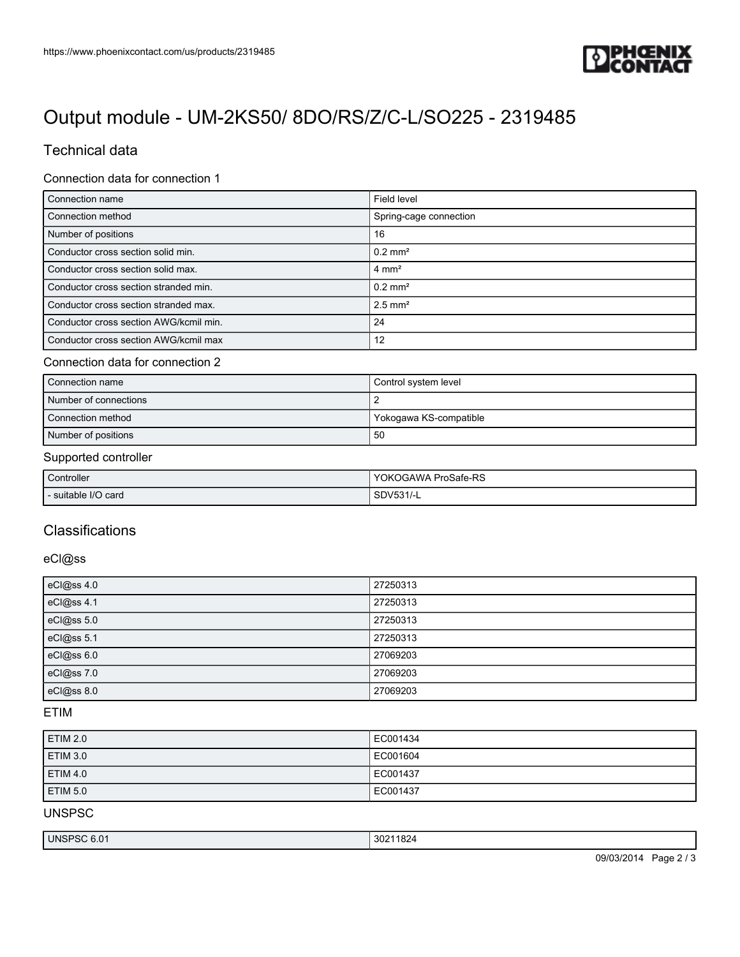

# [Output module - UM-2KS50/ 8DO/RS/Z/C-L/SO225 - 2319485](https://www.phoenixcontact.com/us/products/2319485)

## Technical data

#### Connection data for connection 1

| Connection name                        | Field level            |
|----------------------------------------|------------------------|
| Connection method                      | Spring-cage connection |
| Number of positions                    | 16                     |
| Conductor cross section solid min.     | $0.2$ mm <sup>2</sup>  |
| Conductor cross section solid max.     | $4 \text{ mm}^2$       |
| Conductor cross section stranded min.  | $0.2$ mm <sup>2</sup>  |
| Conductor cross section stranded max.  | $2.5$ mm <sup>2</sup>  |
| Conductor cross section AWG/kcmil min. | 24                     |
| Conductor cross section AWG/kcmil max  | 12                     |

#### Connection data for connection 2

| Connection name       | Control system level   |
|-----------------------|------------------------|
| Number of connections |                        |
| Connection method     | Yokogawa KS-compatible |
| Number of positions   | 50                     |

#### Supported controller

| Controller          | <b>YOKOGAWA ProSafe-RS</b> |
|---------------------|----------------------------|
| - suitable I/O card | SDV531/-L                  |

### **Classifications**

#### eCl@ss

| eCl@ss 4.0 | 27250313 |
|------------|----------|
| eCl@ss 4.1 | 27250313 |
| eCl@ss 5.0 | 27250313 |
| eCl@ss 5.1 | 27250313 |
| eCl@ss 6.0 | 27069203 |
| eCl@ss 7.0 | 27069203 |
| eCl@ss 8.0 | 27069203 |

#### ETIM

| <b>ETIM 2.0</b> | EC001434 |
|-----------------|----------|
| <b>ETIM 3.0</b> | EC001604 |
| <b>ETIM 4.0</b> | EC001437 |
| ETIM 5.0        | EC001437 |

UNSPSC

|  | UN.<br>ov.<br>v.v<br>. | . .<br>JU -<br>1 U Z |
|--|------------------------|----------------------|
|--|------------------------|----------------------|